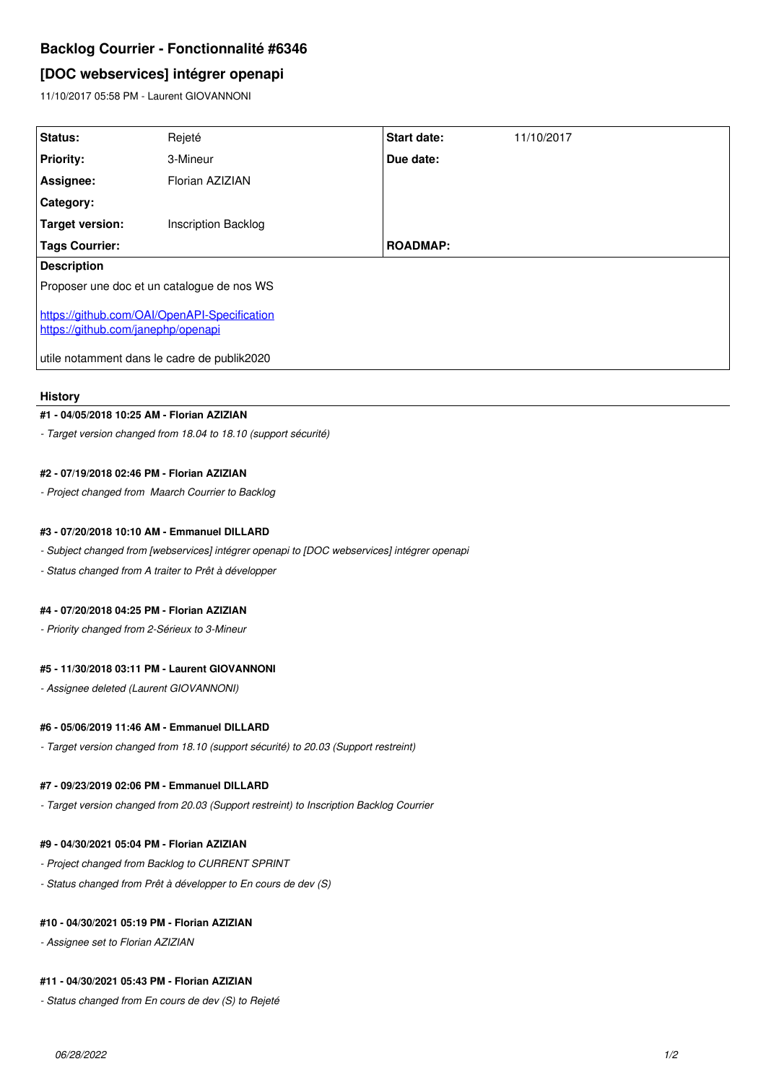# **Backlog Courrier - Fonctionnalité #6346**

# **[DOC webservices] intégrer openapi**

11/10/2017 05:58 PM - Laurent GIOVANNONI

| <b>Status:</b>                                                                     | Rejeté                     | <b>Start date:</b> | 11/10/2017 |
|------------------------------------------------------------------------------------|----------------------------|--------------------|------------|
| <b>Priority:</b>                                                                   | 3-Mineur                   | Due date:          |            |
| Assignee:                                                                          | Florian AZIZIAN            |                    |            |
| <b>Category:</b>                                                                   |                            |                    |            |
| Target version:                                                                    | <b>Inscription Backlog</b> |                    |            |
| <b>Tags Courrier:</b>                                                              |                            | <b>ROADMAP:</b>    |            |
| <b>Description</b>                                                                 |                            |                    |            |
| Proposer une doc et un catalogue de nos WS                                         |                            |                    |            |
| https://github.com/OAI/OpenAPI-Specification<br>https://github.com/janephp/openapi |                            |                    |            |
| utile notamment dans le cadre de publik2020                                        |                            |                    |            |

#### **History**

# **#1 - 04/05/2018 10:25 AM - Florian AZIZIAN**

*- Target version changed from 18.04 to 18.10 (support sécurité)*

# **#2 - 07/19/2018 02:46 PM - Florian AZIZIAN**

*- Project changed from Maarch Courrier to Backlog*

## **#3 - 07/20/2018 10:10 AM - Emmanuel DILLARD**

*- Subject changed from [webservices] intégrer openapi to [DOC webservices] intégrer openapi*

*- Status changed from A traiter to Prêt à développer*

#### **#4 - 07/20/2018 04:25 PM - Florian AZIZIAN**

*- Priority changed from 2-Sérieux to 3-Mineur*

## **#5 - 11/30/2018 03:11 PM - Laurent GIOVANNONI**

*- Assignee deleted (Laurent GIOVANNONI)*

### **#6 - 05/06/2019 11:46 AM - Emmanuel DILLARD**

*- Target version changed from 18.10 (support sécurité) to 20.03 (Support restreint)*

### **#7 - 09/23/2019 02:06 PM - Emmanuel DILLARD**

*- Target version changed from 20.03 (Support restreint) to Inscription Backlog Courrier*

#### **#9 - 04/30/2021 05:04 PM - Florian AZIZIAN**

- *Project changed from Backlog to CURRENT SPRINT*
- *Status changed from Prêt à développer to En cours de dev (S)*

## **#10 - 04/30/2021 05:19 PM - Florian AZIZIAN**

*- Assignee set to Florian AZIZIAN*

## **#11 - 04/30/2021 05:43 PM - Florian AZIZIAN**

*- Status changed from En cours de dev (S) to Rejeté*